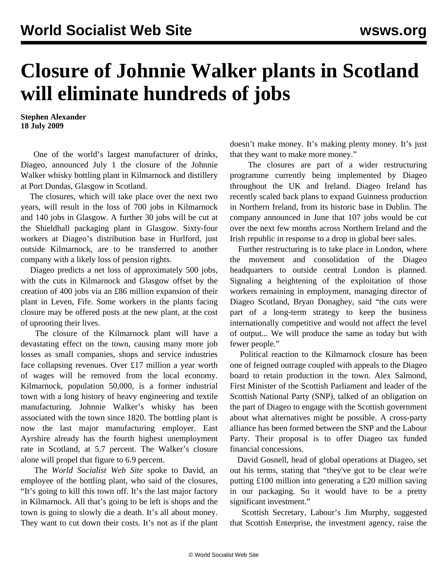## **Closure of Johnnie Walker plants in Scotland will eliminate hundreds of jobs**

**Stephen Alexander 18 July 2009**

 One of the world's largest manufacturer of drinks, Diageo, announced July 1 the closure of the Johnnie Walker whisky bottling plant in Kilmarnock and distillery at Port Dundas, Glasgow in Scotland.

 The closures, which will take place over the next two years, will result in the loss of 700 jobs in Kilmarnock and 140 jobs in Glasgow. A further 30 jobs will be cut at the Shieldhall packaging plant in Glasgow. Sixty-four workers at Diageo's distribution base in Hurlford, just outside Kilmarnock, are to be transferred to another company with a likely loss of pension rights.

 Diageo predicts a net loss of approximately 500 jobs, with the cuts in Kilmarnock and Glasgow offset by the creation of 400 jobs via an £86 million expansion of their plant in Leven, Fife. Some workers in the plants facing closure may be offered posts at the new plant, at the cost of uprooting their lives.

 The closure of the Kilmarnock plant will have a devastating effect on the town, causing many more job losses as small companies, shops and service industries face collapsing revenues. Over £17 million a year worth of wages will be removed from the local economy. Kilmarnock, population 50,000, is a former industrial town with a long history of heavy engineering and textile manufacturing. Johnnie Walker's whisky has been associated with the town since 1820. The bottling plant is now the last major manufacturing employer. East Ayrshire already has the fourth highest unemployment rate in Scotland, at 5.7 percent. The Walker's closure alone will propel that figure to 6.9 percent.

 The *World Socialist Web Site* spoke to David, an employee of the bottling plant, who said of the closures, "It's going to kill this town off. It's the last major factory in Kilmarnock. All that's going to be left is shops and the town is going to slowly die a death. It's all about money. They want to cut down their costs. It's not as if the plant doesn't make money. It's making plenty money. It's just that they want to make more money."

 The closures are part of a wider restructuring programme currently being implemented by Diageo throughout the UK and Ireland. Diageo Ireland has recently scaled back plans to expand Guinness production in Northern Ireland, from its historic base in Dublin. The company announced in June that 107 jobs would be cut over the next few months across Northern Ireland and the Irish republic in response to a drop in global beer sales.

 Further restructuring is to take place in London, where the movement and consolidation of the Diageo headquarters to outside central London is planned. Signaling a heightening of the exploitation of those workers remaining in employment, managing director of Diageo Scotland, Bryan Donaghey, said "the cuts were part of a long-term strategy to keep the business internationally competitive and would not affect the level of output... We will produce the same as today but with fewer people."

 Political reaction to the Kilmarnock closure has been one of feigned outrage coupled with appeals to the Diageo board to retain production in the town. Alex Salmond, First Minister of the Scottish Parliament and leader of the Scottish National Party (SNP), talked of an obligation on the part of Diageo to engage with the Scottish government about what alternatives might be possible. A cross-party alliance has been formed between the SNP and the Labour Party. Their proposal is to offer Diageo tax funded financial concessions.

 David Gosnell, head of global operations at Diageo, set out his terms, stating that "they've got to be clear we're putting £100 million into generating a £20 million saving in our packaging. So it would have to be a pretty significant investment."

 Scottish Secretary, Labour's Jim Murphy, suggested that Scottish Enterprise, the investment agency, raise the